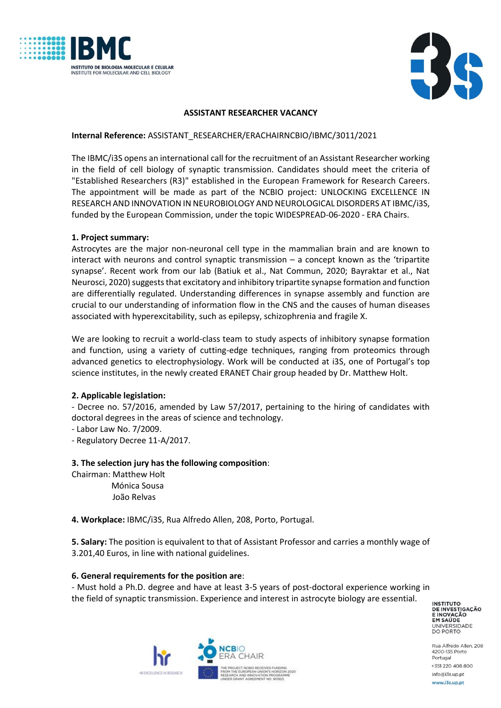



### **ASSISTANT RESEARCHER VACANCY**

#### **Internal Reference:** ASSISTANT\_RESEARCHER/ERACHAIRNCBIO/IBMC/3011/2021

The IBMC/i3S opens an international call for the recruitment of an Assistant Researcher working in the field of cell biology of synaptic transmission. Candidates should meet the criteria of "Established Researchers (R3)" established in the European Framework for Research Careers. The appointment will be made as part of the NCBIO project: UNLOCKING EXCELLENCE IN RESEARCH AND INNOVATION IN NEUROBIOLOGY AND NEUROLOGICAL DISORDERS AT IBMC/i3S, funded by the European Commission, under the topic WIDESPREAD-06-2020 - ERA Chairs.

#### **1. Project summary:**

Astrocytes are the major non-neuronal cell type in the mammalian brain and are known to interact with neurons and control synaptic transmission – a concept known as the 'tripartite synapse'. Recent work from our lab (Batiuk et al., Nat Commun, 2020; Bayraktar et al., Nat Neurosci, 2020) suggests that excitatory and inhibitory tripartite synapse formation and function are differentially regulated. Understanding differences in synapse assembly and function are crucial to our understanding of information flow in the CNS and the causes of human diseases associated with hyperexcitability, such as epilepsy, schizophrenia and fragile X.

We are looking to recruit a world-class team to study aspects of inhibitory synapse formation and function, using a variety of cutting-edge techniques, ranging from proteomics through advanced genetics to electrophysiology. Work will be conducted at i3S, one of Portugal's top science institutes, in the newly created ERANET Chair group headed by Dr. Matthew Holt.

## **2. Applicable legislation:**

- Decree no. 57/2016, amended by Law 57/2017, pertaining to the hiring of candidates with doctoral degrees in the areas of science and technology.

- Labor Law No. 7/2009.

- Regulatory Decree 11-A/2017.

## **3. The selection jury has the following composition**:

Chairman: Matthew Holt Mónica Sousa João Relvas

**4. Workplace:** IBMC/i3S, Rua Alfredo Allen, 208, Porto, Portugal.

**5. Salary:** The position is equivalent to that of Assistant Professor and carries a monthly wage of 3.201,40 Euros, in line with national guidelines.

#### **6. General requirements for the position are**:

- Must hold a Ph.D. degree and have at least 3-5 years of post-doctoral experience working in the field of synaptic transmission. Experience and interest in astrocyte biology are essential.

**INSTITUTO** DE INVESTIGAÇÃO **ENOVAÇÃO<br>EM SAÚDE<br>UNIVERSIDADE<br>DO PORTO** 



Rua Alfredo Allen, 208 4200-135 Porto Portugal +351 220 408 800 info@i3s.up.pt www.i3s.up.pt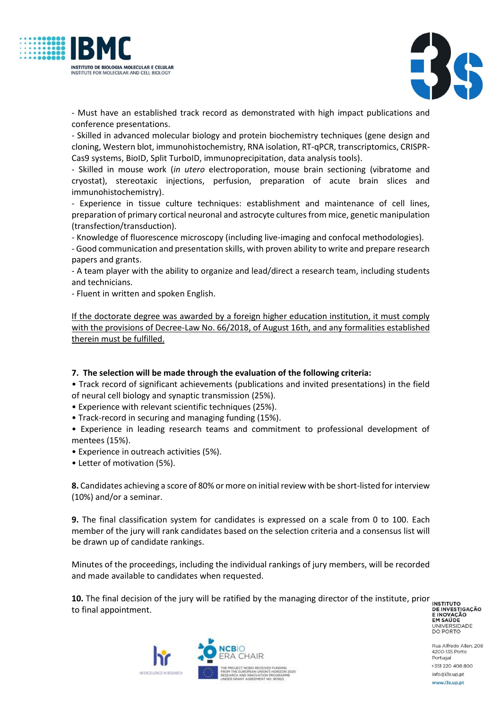



- Must have an established track record as demonstrated with high impact publications and conference presentations.

- Skilled in advanced molecular biology and protein biochemistry techniques (gene design and cloning, Western blot, immunohistochemistry, RNA isolation, RT-qPCR, transcriptomics, CRISPR-Cas9 systems, BioID, Split TurboID, immunoprecipitation, data analysis tools).

- Skilled in mouse work (*in utero* electroporation, mouse brain sectioning (vibratome and cryostat), stereotaxic injections, perfusion, preparation of acute brain slices and immunohistochemistry).

- Experience in tissue culture techniques: establishment and maintenance of cell lines, preparation of primary cortical neuronal and astrocyte cultures from mice, genetic manipulation (transfection/transduction).

- Knowledge of fluorescence microscopy (including live-imaging and confocal methodologies).

- Good communication and presentation skills, with proven ability to write and prepare research papers and grants.

- A team player with the ability to organize and lead/direct a research team, including students and technicians.

- Fluent in written and spoken English.

If the doctorate degree was awarded by a foreign higher education institution, it must comply with the provisions of Decree-Law No. 66/2018, of August 16th, and any formalities established therein must be fulfilled.

## **7. The selection will be made through the evaluation of the following criteria:**

• Track record of significant achievements (publications and invited presentations) in the field of neural cell biology and synaptic transmission (25%).

• Experience with relevant scientific techniques (25%).

- Track-record in securing and managing funding (15%).
- Experience in leading research teams and commitment to professional development of mentees (15%).
- Experience in outreach activities (5%).
- Letter of motivation (5%).

**8.** Candidates achieving a score of 80% or more on initial review with be short-listed for interview (10%) and/or a seminar.

**9.** The final classification system for candidates is expressed on a scale from 0 to 100. Each member of the jury will rank candidates based on the selection criteria and a consensus list will be drawn up of candidate rankings.

Minutes of the proceedings, including the individual rankings of jury members, will be recorded and made available to candidates when requested.

**10.** The final decision of the jury will be ratified by the managing director of the institute, prior **INSTITUTO** to final appointment.



Rua Alfredo Allen, 208 4200-135 Porto Portugal +351 220 408 800 info@i3s.up.pt www.i3s.up.pt